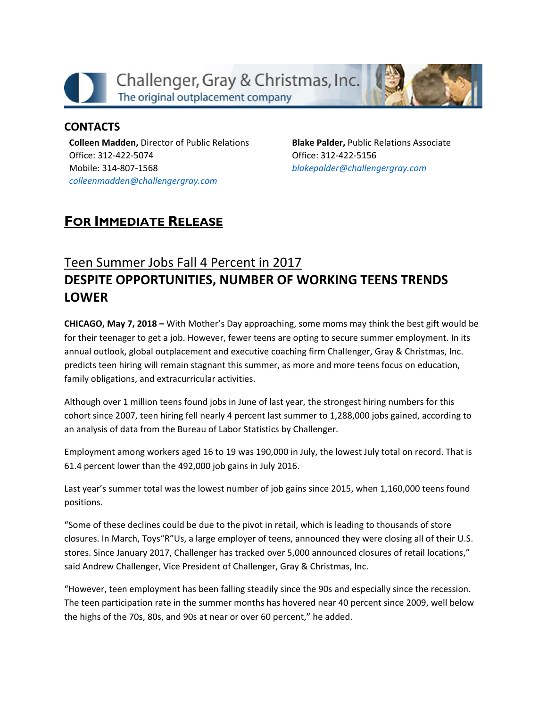

## **CONTACTS**

**Colleen Madden,** Director of Public Relations Office: 312-422-5074 Mobile: 314-807-1568 *[colleenmadden@challengergray.com](mailto:colleenmadden@challengergray.com)*

**Blake Palder,** Public Relations Associate Office: 312-422-5156 *[blakepalder@challengergray.com](mailto:blakepalder@challengergray.com)*

## **FOR IMMEDIATE RELEASE**

## Teen Summer Jobs Fall 4 Percent in 2017 **DESPITE OPPORTUNITIES, NUMBER OF WORKING TEENS TRENDS LOWER**

**CHICAGO, May 7, 2018 –** With Mother's Day approaching, some moms may think the best gift would be for their teenager to get a job. However, fewer teens are opting to secure summer employment. In its annual outlook, global outplacement and executive coaching firm Challenger, Gray & Christmas, Inc. predicts teen hiring will remain stagnant this summer, as more and more teens focus on education, family obligations, and extracurricular activities.

Although over 1 million teens found jobs in June of last year, the strongest hiring numbers for this cohort since 2007, teen hiring fell nearly 4 percent last summer to 1,288,000 jobs gained, according to an analysis of data from the Bureau of Labor Statistics by Challenger.

Employment among workers aged 16 to 19 was 190,000 in July, the lowest July total on record. That is 61.4 percent lower than the 492,000 job gains in July 2016.

Last year's summer total was the lowest number of job gains since 2015, when 1,160,000 teens found positions.

"Some of these declines could be due to the pivot in retail, which is leading to thousands of store closures. In March, Toys"R"Us, a large employer of teens, announced they were closing all of their U.S. stores. Since January 2017, Challenger has tracked over 5,000 announced closures of retail locations," said Andrew Challenger, Vice President of Challenger, Gray & Christmas, Inc.

"However, teen employment has been falling steadily since the 90s and especially since the recession. The teen participation rate in the summer months has hovered near 40 percent since 2009, well below the highs of the 70s, 80s, and 90s at near or over 60 percent," he added.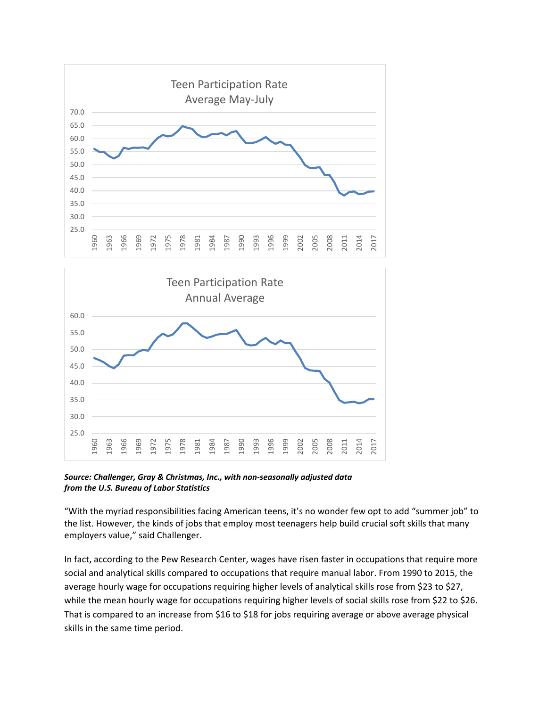



*Source: Challenger, Gray & Christmas, Inc., with non-seasonally adjusted data from the U.S. Bureau of Labor Statistics*

"With the myriad responsibilities facing American teens, it's no wonder few opt to add "summer job" to the list. However, the kinds of jobs that employ most teenagers help build crucial soft skills that many employers value," said Challenger.

In fact, according to the Pew Research Center, wages have risen faster in occupations that require more social and analytical skills compared to occupations that require manual labor. From 1990 to 2015, the average hourly wage for occupations requiring higher levels of analytical skills rose from \$23 to \$27, while the mean hourly wage for occupations requiring higher levels of social skills rose from \$22 to \$26. That is compared to an increase from \$16 to \$18 for jobs requiring average or above average physical skills in the same time period.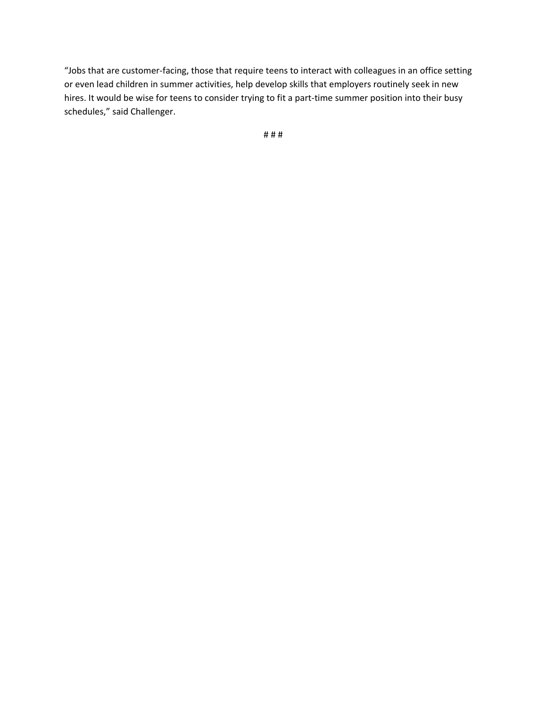"Jobs that are customer-facing, those that require teens to interact with colleagues in an office setting or even lead children in summer activities, help develop skills that employers routinely seek in new hires. It would be wise for teens to consider trying to fit a part-time summer position into their busy schedules," said Challenger.